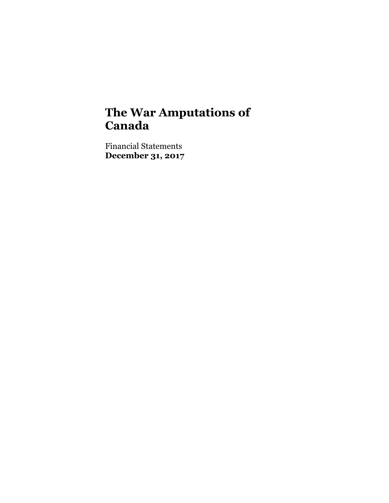Financial Statements **December 31, 2017**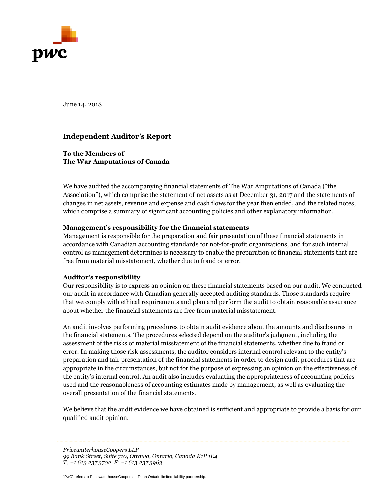

June 14, 2018

## **Independent Auditor's Report**

#### **To the Members of The War Amputations of Canada**

We have audited the accompanying financial statements of The War Amputations of Canada ("the Association"), which comprise the statement of net assets as at December 31, 2017 and the statements of changes in net assets, revenue and expense and cash flows for the year then ended, and the related notes, which comprise a summary of significant accounting policies and other explanatory information.

#### **Management's responsibility for the financial statements**

Management is responsible for the preparation and fair presentation of these financial statements in accordance with Canadian accounting standards for not-for-profit organizations, and for such internal control as management determines is necessary to enable the preparation of financial statements that are free from material misstatement, whether due to fraud or error.

#### **Auditor's responsibility**

Our responsibility is to express an opinion on these financial statements based on our audit. We conducted our audit in accordance with Canadian generally accepted auditing standards. Those standards require that we comply with ethical requirements and plan and perform the audit to obtain reasonable assurance about whether the financial statements are free from material misstatement.

An audit involves performing procedures to obtain audit evidence about the amounts and disclosures in the financial statements. The procedures selected depend on the auditor's judgment, including the assessment of the risks of material misstatement of the financial statements, whether due to fraud or error. In making those risk assessments, the auditor considers internal control relevant to the entity's preparation and fair presentation of the financial statements in order to design audit procedures that are appropriate in the circumstances, but not for the purpose of expressing an opinion on the effectiveness of the entity's internal control. An audit also includes evaluating the appropriateness of accounting policies used and the reasonableness of accounting estimates made by management, as well as evaluating the overall presentation of the financial statements.

We believe that the audit evidence we have obtained is sufficient and appropriate to provide a basis for our qualified audit opinion.

*PricewaterhouseCoopers LLP 99 Bank Street, Suite 710, Ottawa, Ontario, Canada K1P 1E4 T: +1 613 237 3702, F: +1 613 237 3963* 

"PwC" refers to PricewaterhouseCoopers LLP, an Ontario limited liability partnership.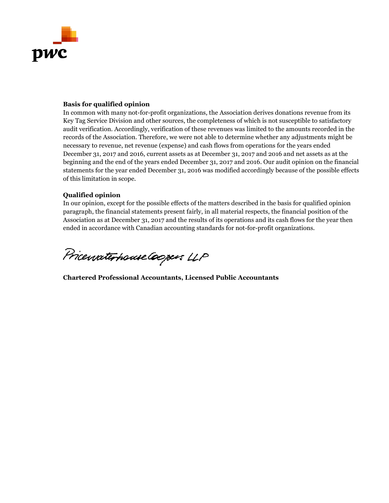

#### **Basis for qualified opinion**

In common with many not-for-profit organizations, the Association derives donations revenue from its Key Tag Service Division and other sources, the completeness of which is not susceptible to satisfactory audit verification. Accordingly, verification of these revenues was limited to the amounts recorded in the records of the Association. Therefore, we were not able to determine whether any adjustments might be necessary to revenue, net revenue (expense) and cash flows from operations for the years ended December 31, 2017 and 2016, current assets as at December 31, 2017 and 2016 and net assets as at the beginning and the end of the years ended December 31, 2017 and 2016. Our audit opinion on the financial statements for the year ended December 31, 2016 was modified accordingly because of the possible effects of this limitation in scope.

#### **Qualified opinion**

In our opinion, except for the possible effects of the matters described in the basis for qualified opinion paragraph, the financial statements present fairly, in all material respects, the financial position of the Association as at December 31, 2017 and the results of its operations and its cash flows for the year then ended in accordance with Canadian accounting standards for not-for-profit organizations.

Pricewaterhouse Coopers LLP

**Chartered Professional Accountants, Licensed Public Accountants**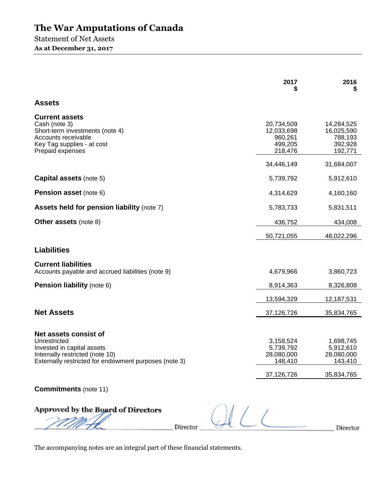Statement of Net Assets **As at December 31, 2017** 

|                                                                                                                                                                 | 2017                                                      | 2016<br>S                                                 |
|-----------------------------------------------------------------------------------------------------------------------------------------------------------------|-----------------------------------------------------------|-----------------------------------------------------------|
| <b>Assets</b>                                                                                                                                                   |                                                           |                                                           |
| <b>Current assets</b><br>Cash (note 3)<br>Short-term investments (note 4)<br>Accounts receivable<br>Key Tag supplies - at cost<br>Prepaid expenses              | 20,734,509<br>12,033,698<br>960,261<br>499,205<br>218,476 | 14,284,525<br>16,025,590<br>788,193<br>392,928<br>192,771 |
|                                                                                                                                                                 | 34,446,149                                                | 31,684,007                                                |
| <b>Capital assets (note 5)</b>                                                                                                                                  | 5,739,792                                                 | 5,912,610                                                 |
| <b>Pension asset</b> (note 6)                                                                                                                                   | 4,314,629                                                 | 4,160,160                                                 |
| Assets held for pension liability (note 7)                                                                                                                      | 5,783,733                                                 | 5,831,511                                                 |
| <b>Other assets (note 8)</b>                                                                                                                                    | 436,752                                                   | 434,008                                                   |
|                                                                                                                                                                 | 50,721,055                                                | 48,022,296                                                |
| <b>Liabilities</b>                                                                                                                                              |                                                           |                                                           |
| <b>Current liabilities</b><br>Accounts payable and accrued liabilities (note 9)                                                                                 | 4,679,966                                                 | 3,860,723                                                 |
| <b>Pension liability (note 6)</b>                                                                                                                               | 8,914,363                                                 | 8,326,808                                                 |
|                                                                                                                                                                 | 13,594,329                                                | 12,187,531                                                |
| <b>Net Assets</b>                                                                                                                                               | 37,126,726                                                | 35,834,765                                                |
| Net assets consist of<br>Unrestricted<br>Invested in capital assets<br>Internally restricted (note 10)<br>Externally restricted for endowment purposes (note 3) | 3,158,524<br>5,739,792<br>28,080,000<br>148.410           | 1,698,745<br>5,912,610<br>28,080,000<br>143.410           |
|                                                                                                                                                                 | 37,126,726                                                | 35,834,765                                                |
| <b>Commitments</b> (note 11)                                                                                                                                    |                                                           |                                                           |
| <b>Approved by the Board of Directors</b><br>Director                                                                                                           |                                                           | <b>Director</b>                                           |

Director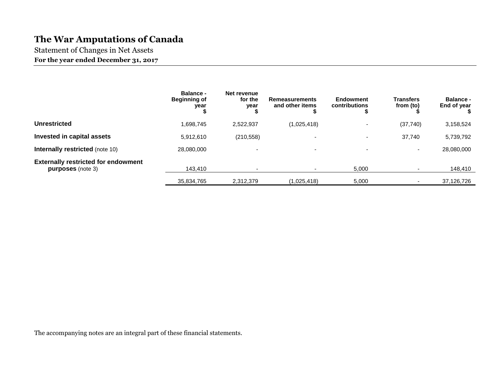Statement of Changes in Net Assets **For the year ended December 31, 2017** 

|                                                                        | <b>Balance -</b><br><b>Beginning of</b><br>year | Net revenue<br>for the<br>year | <b>Remeasurements</b><br>and other items | <b>Endowment</b><br>contributions | <b>Transfers</b><br>from (to) | Balance -<br>End of year |
|------------------------------------------------------------------------|-------------------------------------------------|--------------------------------|------------------------------------------|-----------------------------------|-------------------------------|--------------------------|
| <b>Unrestricted</b>                                                    | 1,698,745                                       | 2,522,937                      | (1,025,418)                              | ۰                                 | (37, 740)                     | 3,158,524                |
| Invested in capital assets                                             | 5,912,610                                       | (210, 558)                     | $\overline{\phantom{a}}$                 | $\overline{\phantom{0}}$          | 37,740                        | 5,739,792                |
| <b>Internally restricted (note 10)</b>                                 | 28,080,000                                      |                                | $\overline{\phantom{a}}$                 | $\overline{\phantom{a}}$          |                               | 28,080,000               |
| <b>Externally restricted for endowment</b><br><b>purposes</b> (note 3) | 143,410                                         |                                |                                          | 5,000                             |                               | 148,410                  |
|                                                                        | 35,834,765                                      | 2.312.379                      | (1,025,418)                              | 5.000                             |                               | 37,126,726               |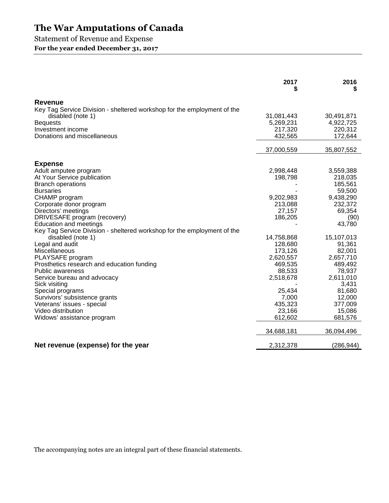## Statement of Revenue and Expense

**For the year ended December 31, 2017** 

|                                                                         | 2017               | 2016<br>S          |
|-------------------------------------------------------------------------|--------------------|--------------------|
| <b>Revenue</b>                                                          |                    |                    |
| Key Tag Service Division - sheltered workshop for the employment of the |                    |                    |
| disabled (note 1)                                                       | 31,081,443         | 30,491,871         |
| <b>Bequests</b>                                                         | 5,269,231          | 4,922,725          |
| Investment income<br>Donations and miscellaneous                        | 217,320<br>432,565 | 220,312<br>172,644 |
|                                                                         |                    |                    |
|                                                                         | 37,000,559         | 35,807,552         |
| <b>Expense</b>                                                          |                    |                    |
| Adult amputee program                                                   | 2,998,448          | 3,559,388          |
| At Your Service publication                                             | 198,798            | 218,035            |
| <b>Branch operations</b>                                                |                    | 185,561            |
| <b>Bursaries</b>                                                        |                    | 59,500             |
| CHAMP program                                                           | 9,202,983          | 9,438,290          |
| Corporate donor program                                                 | 213,088            | 232,372            |
| Directors' meetings                                                     | 27,157             | 69,354             |
| DRIVESAFE program (recovery)<br>Education and meetings                  | 186,205            | (90)<br>43,780     |
| Key Tag Service Division - sheltered workshop for the employment of the |                    |                    |
| disabled (note 1)                                                       | 14,758,868         | 15,107,013         |
| Legal and audit                                                         | 128,680            | 91,361             |
| Miscellaneous                                                           | 173,126            | 82,001             |
| PLAYSAFE program                                                        | 2,620,557          | 2,657,710          |
| Prosthetics research and education funding                              | 469,535            | 489,492            |
| <b>Public awareness</b>                                                 | 88,533             | 78,937             |
| Service bureau and advocacy                                             | 2,518,678          | 2,611,010          |
| Sick visiting                                                           |                    | 3,431              |
| Special programs                                                        | 25,434             | 81,680             |
| Survivors' subsistence grants                                           | 7,000              | 12,000             |
| Veterans' issues - special                                              | 435,323            | 377,009            |
| Video distribution                                                      | 23,166             | 15,086             |
| Widows' assistance program                                              | 612,602            | 681,576            |
|                                                                         | 34,688,181         | 36,094,496         |
| Net revenue (expense) for the year                                      | 2,312,378          | (286,944)          |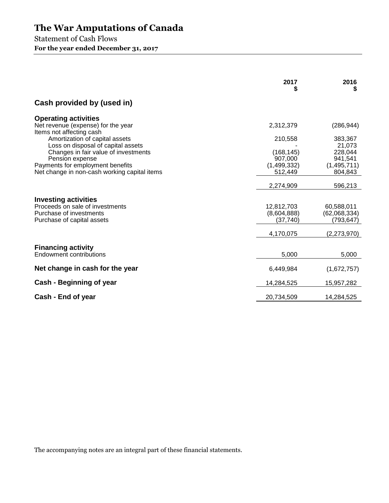Statement of Cash Flows **For the year ended December 31, 2017** 

|                                                                                                                                 | 2017                                   | 2016<br>\$                              |
|---------------------------------------------------------------------------------------------------------------------------------|----------------------------------------|-----------------------------------------|
| Cash provided by (used in)                                                                                                      |                                        |                                         |
| <b>Operating activities</b><br>Net revenue (expense) for the year<br>Items not affecting cash                                   | 2,312,379                              | (286, 944)                              |
| Amortization of capital assets<br>Loss on disposal of capital assets<br>Changes in fair value of investments<br>Pension expense | 210,558<br>(168, 145)<br>907,000       | 383,367<br>21,073<br>228,044<br>941,541 |
| Payments for employment benefits<br>Net change in non-cash working capital items                                                | (1,499,332)<br>512,449                 | (1,495,711)<br>804,843                  |
|                                                                                                                                 | 2,274,909                              | 596,213                                 |
| <b>Investing activities</b><br>Proceeds on sale of investments<br>Purchase of investments<br>Purchase of capital assets         | 12,812,703<br>(8,604,888)<br>(37, 740) | 60,588,011<br>(62,068,334)<br>(793,647) |
| <b>Financing activity</b><br><b>Endowment contributions</b>                                                                     | 4,170,075<br>5,000                     | (2,273,970)<br>5,000                    |
| Net change in cash for the year                                                                                                 | 6,449,984                              | (1,672,757)                             |
| Cash - Beginning of year                                                                                                        | 14,284,525                             | 15,957,282                              |
| Cash - End of year                                                                                                              | 20,734,509                             | 14,284,525                              |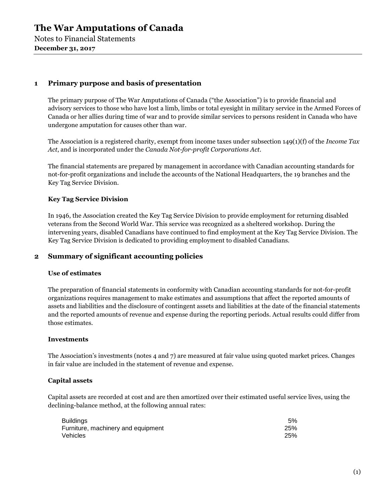Notes to Financial Statements **December 31, 2017** 

### **1 Primary purpose and basis of presentation**

The primary purpose of The War Amputations of Canada ("the Association") is to provide financial and advisory services to those who have lost a limb, limbs or total eyesight in military service in the Armed Forces of Canada or her allies during time of war and to provide similar services to persons resident in Canada who have undergone amputation for causes other than war.

The Association is a registered charity, exempt from income taxes under subsection 149(1)(f) of the *Income Tax Act*, and is incorporated under the *Canada Not-for-profit Corporations Act.*

The financial statements are prepared by management in accordance with Canadian accounting standards for not-for-profit organizations and include the accounts of the National Headquarters, the 19 branches and the Key Tag Service Division.

#### **Key Tag Service Division**

In 1946, the Association created the Key Tag Service Division to provide employment for returning disabled veterans from the Second World War. This service was recognized as a sheltered workshop. During the intervening years, disabled Canadians have continued to find employment at the Key Tag Service Division. The Key Tag Service Division is dedicated to providing employment to disabled Canadians.

## **2 Summary of significant accounting policies**

#### **Use of estimates**

The preparation of financial statements in conformity with Canadian accounting standards for not-for-profit organizations requires management to make estimates and assumptions that affect the reported amounts of assets and liabilities and the disclosure of contingent assets and liabilities at the date of the financial statements and the reported amounts of revenue and expense during the reporting periods. Actual results could differ from those estimates.

#### **Investments**

The Association's investments (notes 4 and 7) are measured at fair value using quoted market prices. Changes in fair value are included in the statement of revenue and expense.

#### **Capital assets**

Capital assets are recorded at cost and are then amortized over their estimated useful service lives, using the declining-balance method, at the following annual rates:

| <b>Buildings</b>                   | 5%  |
|------------------------------------|-----|
| Furniture, machinery and equipment | 25% |
| Vehicles                           | 25% |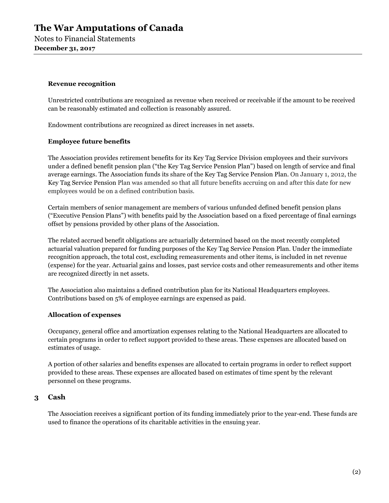Notes to Financial Statements **December 31, 2017** 

#### **Revenue recognition**

Unrestricted contributions are recognized as revenue when received or receivable if the amount to be received can be reasonably estimated and collection is reasonably assured.

Endowment contributions are recognized as direct increases in net assets.

#### **Employee future benefits**

The Association provides retirement benefits for its Key Tag Service Division employees and their survivors under a defined benefit pension plan ("the Key Tag Service Pension Plan") based on length of service and final average earnings. The Association funds its share of the Key Tag Service Pension Plan. On January 1, 2012, the Key Tag Service Pension Plan was amended so that all future benefits accruing on and after this date for new employees would be on a defined contribution basis.

Certain members of senior management are members of various unfunded defined benefit pension plans ("Executive Pension Plans") with benefits paid by the Association based on a fixed percentage of final earnings offset by pensions provided by other plans of the Association.

The related accrued benefit obligations are actuarially determined based on the most recently completed actuarial valuation prepared for funding purposes of the Key Tag Service Pension Plan. Under the immediate recognition approach, the total cost, excluding remeasurements and other items, is included in net revenue (expense) for the year. Actuarial gains and losses, past service costs and other remeasurements and other items are recognized directly in net assets.

The Association also maintains a defined contribution plan for its National Headquarters employees. Contributions based on 5% of employee earnings are expensed as paid.

#### **Allocation of expenses**

Occupancy, general office and amortization expenses relating to the National Headquarters are allocated to certain programs in order to reflect support provided to these areas. These expenses are allocated based on estimates of usage.

A portion of other salaries and benefits expenses are allocated to certain programs in order to reflect support provided to these areas. These expenses are allocated based on estimates of time spent by the relevant personnel on these programs.

#### **3 Cash**

The Association receives a significant portion of its funding immediately prior to the year-end. These funds are used to finance the operations of its charitable activities in the ensuing year.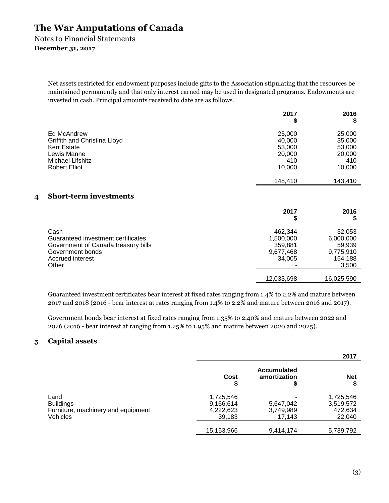Notes to Financial Statements

## **December 31, 2017**

Net assets restricted for endowment purposes include gifts to the Association stipulating that the resources be maintained permanently and that only interest earned may be used in designated programs. Endowments are invested in cash. Principal amounts received to date are as follows.

|                                                                                                                       | 2017<br>⊅                                             | 2016<br>\$                                            |
|-----------------------------------------------------------------------------------------------------------------------|-------------------------------------------------------|-------------------------------------------------------|
| Ed McAndrew<br>Griffith and Christina Lloyd<br>Kerr Estate<br>Lewis Manne<br>Michael Lifshitz<br><b>Robert Elliot</b> | 25,000<br>40,000<br>53,000<br>20,000<br>410<br>10,000 | 25,000<br>35,000<br>53,000<br>20,000<br>410<br>10,000 |
|                                                                                                                       | 148,410                                               | 143,410                                               |

## **4 Short-term investments**

|                                                                                                                                    | 2017                                                   | 2016                                                           |
|------------------------------------------------------------------------------------------------------------------------------------|--------------------------------------------------------|----------------------------------------------------------------|
| Cash<br>Guaranteed investment certificates<br>Government of Canada treasury bills<br>Government bonds<br>Accrued interest<br>Other | 462.344<br>1,500,000<br>359,881<br>9,677,468<br>34.005 | 32,053<br>6,000,000<br>59,939<br>9,775,910<br>154,188<br>3,500 |
|                                                                                                                                    | 12,033,698                                             | 16,025,590                                                     |

Guaranteed investment certificates bear interest at fixed rates ranging from 1.4% to 2.2% and mature between 2017 and 2018 (2016 - bear interest at rates ranging from 1.4% to 2.2% and mature between 2016 and 2017).

Government bonds bear interest at fixed rates ranging from 1.35% to 2.40% and mature between 2022 and 2026 (2016 - bear interest at ranging from 1.25% to 1.95% and mature between 2020 and 2025).

## **5 Capital assets**

|                                                                            |                                               |                                    | 2017                                        |
|----------------------------------------------------------------------------|-----------------------------------------------|------------------------------------|---------------------------------------------|
|                                                                            | Cost<br>\$                                    | <b>Accumulated</b><br>amortization | <b>Net</b>                                  |
| Land<br><b>Buildings</b><br>Furniture, machinery and equipment<br>Vehicles | 1,725,546<br>9,166,614<br>4,222,623<br>39,183 | 5,647,042<br>3,749,989<br>17,143   | 1,725,546<br>3,519,572<br>472,634<br>22,040 |
|                                                                            | 15,153,966                                    | 9,414,174                          | 5,739,792                                   |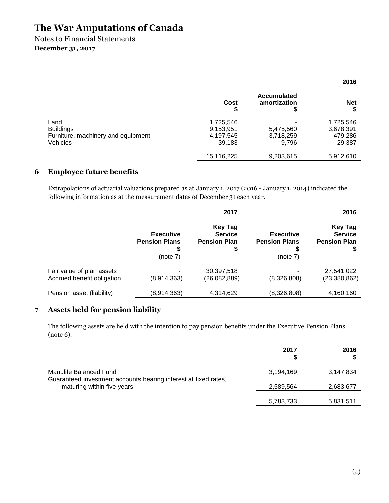Notes to Financial Statements **December 31, 2017** 

|                                                                            |                                               |                                    | 2016                                        |
|----------------------------------------------------------------------------|-----------------------------------------------|------------------------------------|---------------------------------------------|
|                                                                            | Cost<br>\$                                    | <b>Accumulated</b><br>amortization | <b>Net</b>                                  |
| Land<br><b>Buildings</b><br>Furniture, machinery and equipment<br>Vehicles | 1,725,546<br>9,153,951<br>4,197,545<br>39,183 | 5,475,560<br>3,718,259<br>9,796    | 1,725,546<br>3,678,391<br>479,286<br>29,387 |
|                                                                            | 15,116,225                                    | 9,203,615                          | 5,912,610                                   |

## **6 Employee future benefits**

Extrapolations of actuarial valuations prepared as at January 1, 2017 (2016 - January 1, 2014) indicated the following information as at the measurement dates of December 31 each year.

|                                                         |                                                      | 2017                                                          |                                                      | 2016                                                    |
|---------------------------------------------------------|------------------------------------------------------|---------------------------------------------------------------|------------------------------------------------------|---------------------------------------------------------|
|                                                         | <b>Executive</b><br><b>Pension Plans</b><br>(note 7) | <b>Key Tag</b><br><b>Service</b><br><b>Pension Plan</b><br>\$ | <b>Executive</b><br><b>Pension Plans</b><br>(note 7) | <b>Key Tag</b><br><b>Service</b><br><b>Pension Plan</b> |
| Fair value of plan assets<br>Accrued benefit obligation | (8,914,363)                                          | 30,397,518<br>(26,082,889)                                    | (8,326,808)                                          | 27,541,022<br>(23,380,862)                              |
| Pension asset (liability)                               | (8,914,363)                                          | 4,314,629                                                     | (8,326,808)                                          | 4,160,160                                               |

## **7 Assets held for pension liability**

The following assets are held with the intention to pay pension benefits under the Executive Pension Plans (note 6).

|                                                                                           | 2017      | 2016      |
|-------------------------------------------------------------------------------------------|-----------|-----------|
| Manulife Balanced Fund<br>Guaranteed investment accounts bearing interest at fixed rates, | 3,194,169 | 3,147,834 |
| maturing within five years                                                                | 2,589,564 | 2,683,677 |
|                                                                                           | 5,783,733 | 5,831,511 |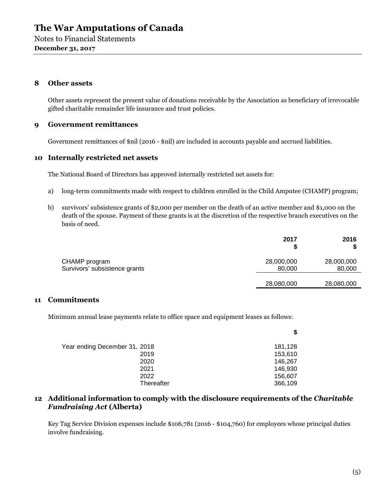Notes to Financial Statements **December 31, 2017** 

#### **8 Other assets**

Other assets represent the present value of donations receivable by the Association as beneficiary of irrevocable gifted charitable remainder life insurance and trust policies.

#### **9 Government remittances**

Government remittances of \$nil (2016 - \$nil) are included in accounts payable and accrued liabilities.

#### **10 Internally restricted net assets**

The National Board of Directors has approved internally restricted net assets for:

- a) long-term commitments made with respect to children enrolled in the Child Amputee (CHAMP) program;
- b) survivors' subsistence grants of \$2,000 per member on the death of an active member and \$1,000 on the death of the spouse. Payment of these grants is at the discretion of the respective branch executives on the basis of need.

|                                                | 2017<br>\$           | 2016                 |
|------------------------------------------------|----------------------|----------------------|
| CHAMP program<br>Survivors' subsistence grants | 28,000,000<br>80,000 | 28,000,000<br>80,000 |
|                                                | 28,080,000           | 28,080,000           |

#### **11 Commitments**

Minimum annual lease payments relate to office space and equipment leases as follows:

|                               | \$      |
|-------------------------------|---------|
| Year ending December 31, 2018 | 181,128 |
| 2019                          | 153,610 |
| 2020                          | 146,267 |
| 2021                          | 146,930 |
| 2022                          | 156,607 |
| <b>Thereafter</b>             | 366,109 |

## **12 Additional information to comply with the disclosure requirements of the** *Charitable Fundraising Act* **(Alberta)**

Key Tag Service Division expenses include \$106,781 (2016 - \$104,760) for employees whose principal duties involve fundraising.